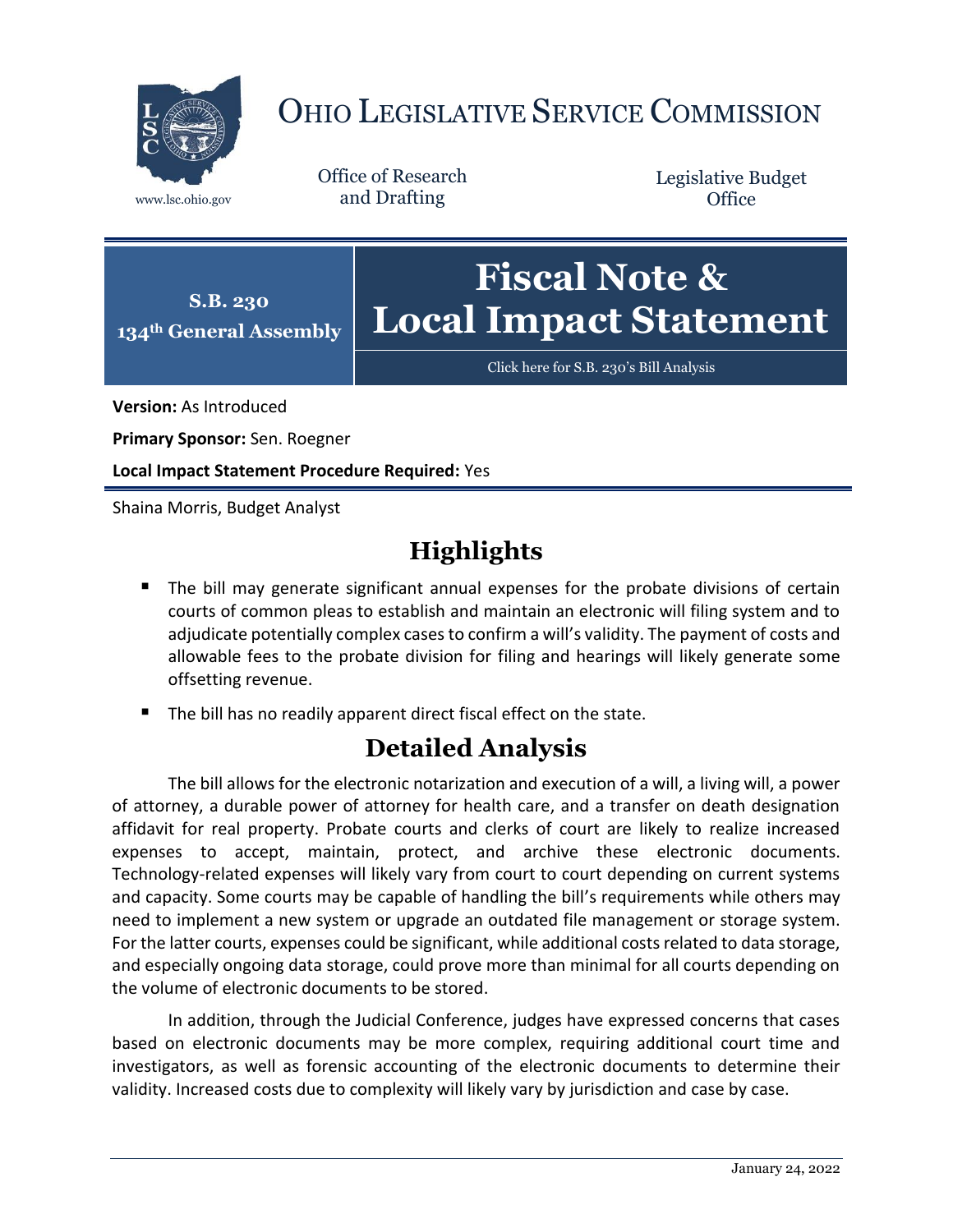

## OHIO LEGISLATIVE SERVICE COMMISSION

Office of Research www.lsc.ohio.gov and Drafting

Legislative Budget **Office** 



[Click here for S.B. 230](https://www.legislature.ohio.gov/legislation/legislation-documents?id=GA134-SB-230)'s Bill Analysis

**Version:** As Introduced

**Primary Sponsor:** Sen. Roegner

**Local Impact Statement Procedure Required:** Yes

Shaina Morris, Budget Analyst

## **Highlights**

- **The bill may generate significant annual expenses for the probate divisions of certain** courts of common pleas to establish and maintain an electronic will filing system and to adjudicate potentially complex cases to confirm a will's validity. The payment of costs and allowable fees to the probate division for filing and hearings will likely generate some offsetting revenue.
- The bill has no readily apparent direct fiscal effect on the state.

## **Detailed Analysis**

The bill allows for the electronic notarization and execution of a will, a living will, a power of attorney, a durable power of attorney for health care, and a transfer on death designation affidavit for real property. Probate courts and clerks of court are likely to realize increased expenses to accept, maintain, protect, and archive these electronic documents. Technology-related expenses will likely vary from court to court depending on current systems and capacity. Some courts may be capable of handling the bill's requirements while others may need to implement a new system or upgrade an outdated file management or storage system. For the latter courts, expenses could be significant, while additional costs related to data storage, and especially ongoing data storage, could prove more than minimal for all courts depending on the volume of electronic documents to be stored.

In addition, through the Judicial Conference, judges have expressed concerns that cases based on electronic documents may be more complex, requiring additional court time and investigators, as well as forensic accounting of the electronic documents to determine their validity. Increased costs due to complexity will likely vary by jurisdiction and case by case.